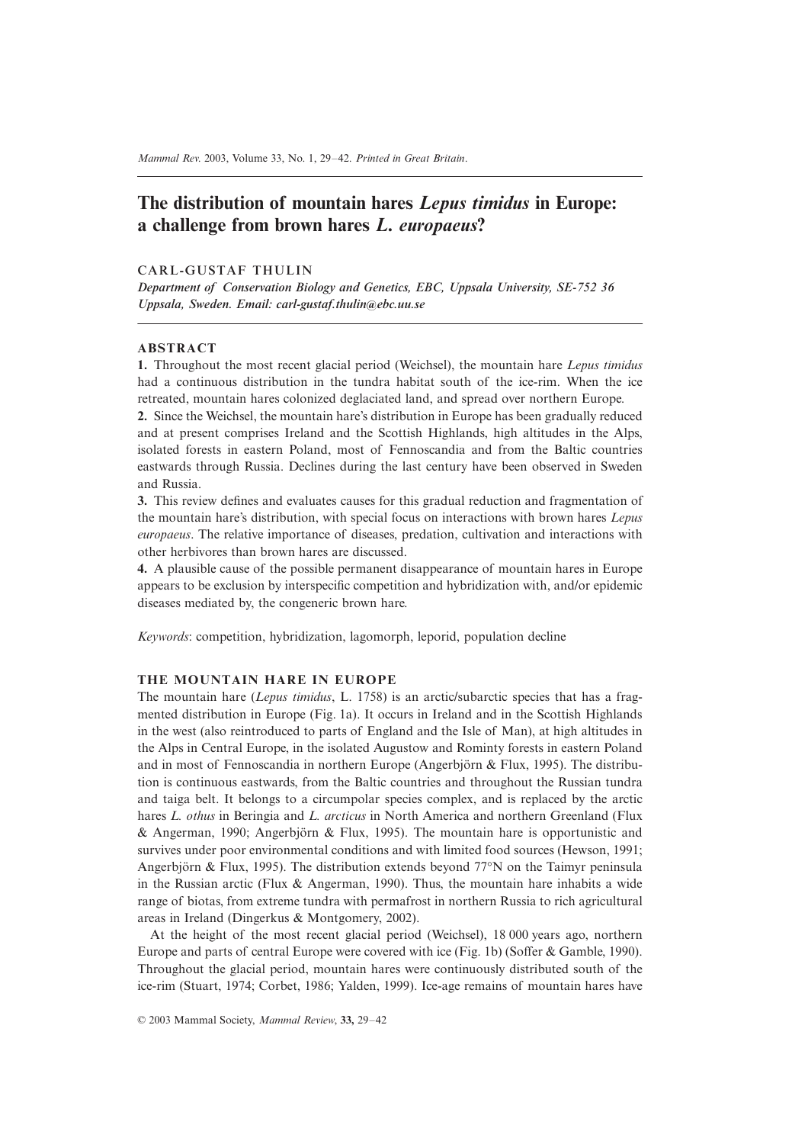# **The distribution of mountain hares** *Lepus timidus* **in Europe: a challenge from brown hares** *L. europaeus***?**

### CARL-GUSTAF THULIN

*Department of Conservation Biology and Genetics, EBC, Uppsala University, SE-752 36 Uppsala, Sweden. Email: carl-gustaf.thulin@ebc.uu.se*

#### **ABSTRACT**

**1.** Throughout the most recent glacial period (Weichsel), the mountain hare *Lepus timidus* had a continuous distribution in the tundra habitat south of the ice-rim. When the ice retreated, mountain hares colonized deglaciated land, and spread over northern Europe.

**2.** Since the Weichsel, the mountain hare's distribution in Europe has been gradually reduced and at present comprises Ireland and the Scottish Highlands, high altitudes in the Alps, isolated forests in eastern Poland, most of Fennoscandia and from the Baltic countries eastwards through Russia. Declines during the last century have been observed in Sweden and Russia.

**3.** This review defines and evaluates causes for this gradual reduction and fragmentation of the mountain hare's distribution, with special focus on interactions with brown hares *Lepus europaeus*. The relative importance of diseases, predation, cultivation and interactions with other herbivores than brown hares are discussed.

**4.** A plausible cause of the possible permanent disappearance of mountain hares in Europe appears to be exclusion by interspecific competition and hybridization with, and/or epidemic diseases mediated by, the congeneric brown hare.

*Keywords*: competition, hybridization, lagomorph, leporid, population decline

## **THE MOUNTAIN HARE IN EUROPE**

The mountain hare (*Lepus timidus*, L. 1758) is an arctic/subarctic species that has a fragmented distribution in Europe (Fig. 1a). It occurs in Ireland and in the Scottish Highlands in the west (also reintroduced to parts of England and the Isle of Man), at high altitudes in the Alps in Central Europe, in the isolated Augustow and Rominty forests in eastern Poland and in most of Fennoscandia in northern Europe (Angerbjörn & Flux, 1995). The distribution is continuous eastwards, from the Baltic countries and throughout the Russian tundra and taiga belt. It belongs to a circumpolar species complex, and is replaced by the arctic hares *L. othus* in Beringia and *L. arcticus* in North America and northern Greenland (Flux & Angerman, 1990; Angerbjörn & Flux, 1995). The mountain hare is opportunistic and survives under poor environmental conditions and with limited food sources (Hewson, 1991; Angerbjörn & Flux, 1995). The distribution extends beyond 77∞N on the Taimyr peninsula in the Russian arctic (Flux & Angerman, 1990). Thus, the mountain hare inhabits a wide range of biotas, from extreme tundra with permafrost in northern Russia to rich agricultural areas in Ireland (Dingerkus & Montgomery, 2002).

At the height of the most recent glacial period (Weichsel), 18 000 years ago, northern Europe and parts of central Europe were covered with ice (Fig. 1b) (Soffer & Gamble, 1990). Throughout the glacial period, mountain hares were continuously distributed south of the ice-rim (Stuart, 1974; Corbet, 1986; Yalden, 1999). Ice-age remains of mountain hares have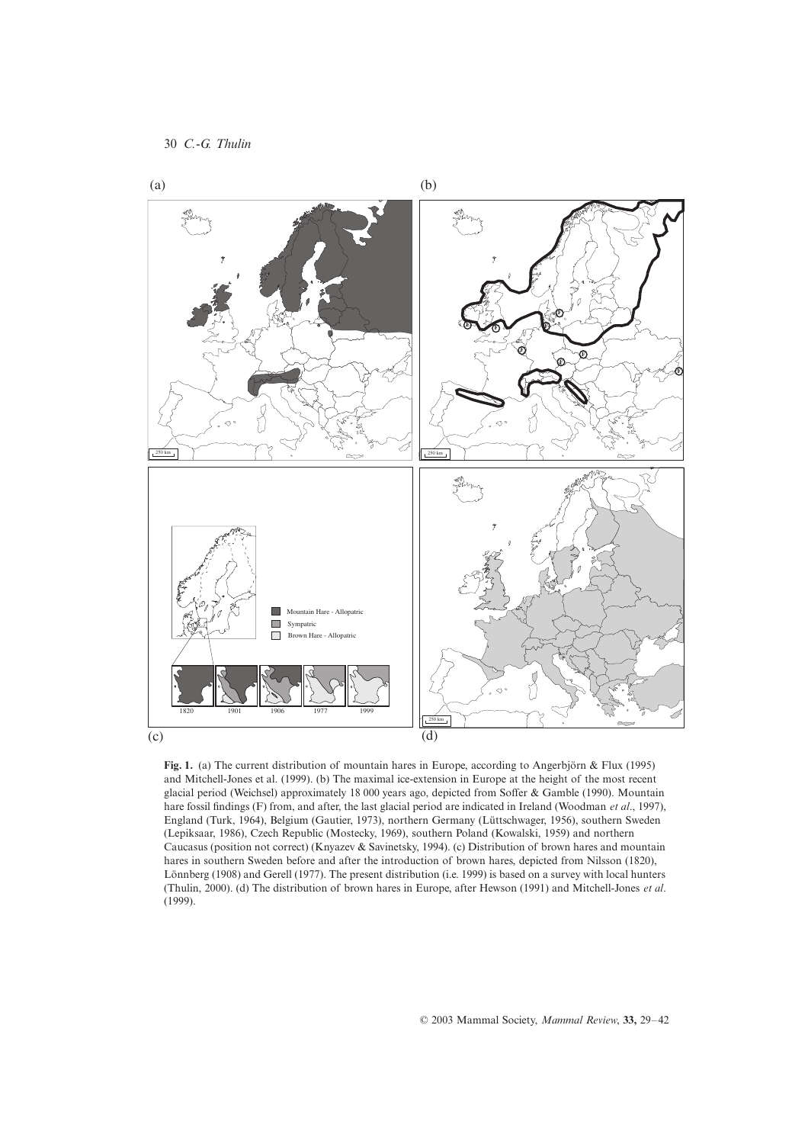

**Fig. 1.** (a) The current distribution of mountain hares in Europe, according to Angerbjörn & Flux (1995) and Mitchell-Jones et al. (1999). (b) The maximal ice-extension in Europe at the height of the most recent glacial period (Weichsel) approximately 18 000 years ago, depicted from Soffer & Gamble (1990). Mountain hare fossil findings (F) from, and after, the last glacial period are indicated in Ireland (Woodman *et al*., 1997), England (Turk, 1964), Belgium (Gautier, 1973), northern Germany (Lüttschwager, 1956), southern Sweden (Lepiksaar, 1986), Czech Republic (Mostecky, 1969), southern Poland (Kowalski, 1959) and northern Caucasus (position not correct) (Knyazev & Savinetsky, 1994). (c) Distribution of brown hares and mountain hares in southern Sweden before and after the introduction of brown hares, depicted from Nilsson (1820), Lönnberg (1908) and Gerell (1977). The present distribution (i.e. 1999) is based on a survey with local hunters (Thulin, 2000). (d) The distribution of brown hares in Europe, after Hewson (1991) and Mitchell-Jones *et al*. (1999).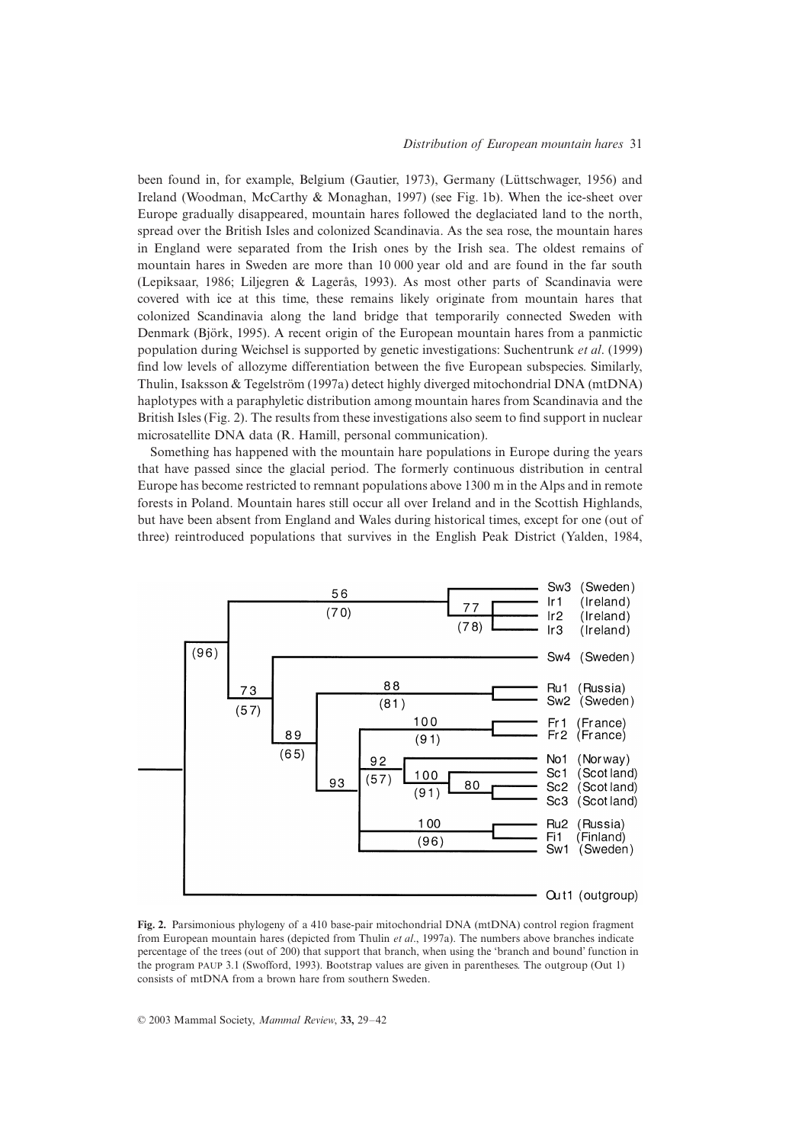been found in, for example, Belgium (Gautier, 1973), Germany (Lüttschwager, 1956) and Ireland (Woodman, McCarthy & Monaghan, 1997) (see Fig. 1b). When the ice-sheet over Europe gradually disappeared, mountain hares followed the deglaciated land to the north, spread over the British Isles and colonized Scandinavia. As the sea rose, the mountain hares in England were separated from the Irish ones by the Irish sea. The oldest remains of mountain hares in Sweden are more than 10 000 year old and are found in the far south (Lepiksaar, 1986; Liljegren & Lagerås, 1993). As most other parts of Scandinavia were covered with ice at this time, these remains likely originate from mountain hares that colonized Scandinavia along the land bridge that temporarily connected Sweden with Denmark (Björk, 1995). A recent origin of the European mountain hares from a panmictic population during Weichsel is supported by genetic investigations: Suchentrunk *et al*. (1999) find low levels of allozyme differentiation between the five European subspecies. Similarly, Thulin, Isaksson & Tegelström (1997a) detect highly diverged mitochondrial DNA (mtDNA) haplotypes with a paraphyletic distribution among mountain hares from Scandinavia and the British Isles (Fig. 2). The results from these investigations also seem to find support in nuclear microsatellite DNA data (R. Hamill, personal communication).

Something has happened with the mountain hare populations in Europe during the years that have passed since the glacial period. The formerly continuous distribution in central Europe has become restricted to remnant populations above 1300 m in the Alps and in remote forests in Poland. Mountain hares still occur all over Ireland and in the Scottish Highlands, but have been absent from England and Wales during historical times, except for one (out of three) reintroduced populations that survives in the English Peak District (Yalden, 1984,



**Fig. 2.** Parsimonious phylogeny of a 410 base-pair mitochondrial DNA (mtDNA) control region fragment from European mountain hares (depicted from Thulin *et al*., 1997a). The numbers above branches indicate percentage of the trees (out of 200) that support that branch, when using the 'branch and bound' function in the program PAUP 3.1 (Swofford, 1993). Bootstrap values are given in parentheses. The outgroup (Out 1) consists of mtDNA from a brown hare from southern Sweden.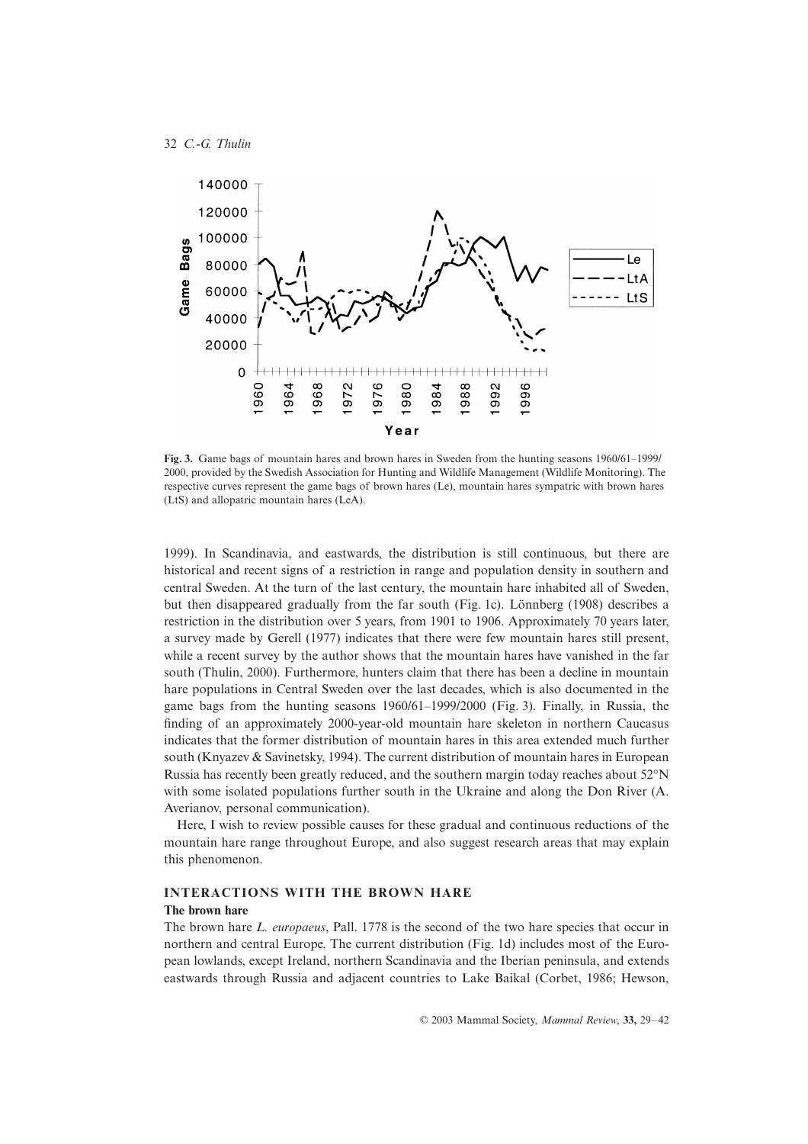

**Fig. 3.** Game bags of mountain hares and brown hares in Sweden from the hunting seasons 1960/61–1999/ 2000, provided by the Swedish Association for Hunting and Wildlife Management (Wildlife Monitoring). The respective curves represent the game bags of brown hares (Le), mountain hares sympatric with brown hares (LtS) and allopatric mountain hares (LeA).

1999). In Scandinavia, and eastwards, the distribution is still continuous, but there are historical and recent signs of a restriction in range and population density in southern and central Sweden. At the turn of the last century, the mountain hare inhabited all of Sweden, but then disappeared gradually from the far south (Fig. 1c). Lönnberg (1908) describes a restriction in the distribution over 5 years, from 1901 to 1906. Approximately 70 years later, a survey made by Gerell (1977) indicates that there were few mountain hares still present, while a recent survey by the author shows that the mountain hares have vanished in the far south (Thulin, 2000). Furthermore, hunters claim that there has been a decline in mountain hare populations in Central Sweden over the last decades, which is also documented in the game bags from the hunting seasons 1960/61–1999/2000 (Fig. 3). Finally, in Russia, the finding of an approximately 2000-year-old mountain hare skeleton in northern Caucasus indicates that the former distribution of mountain hares in this area extended much further south (Knyazev & Savinetsky, 1994). The current distribution of mountain hares in European Russia has recently been greatly reduced, and the southern margin today reaches about 52∞N with some isolated populations further south in the Ukraine and along the Don River (A. Averianov, personal communication).

Here, I wish to review possible causes for these gradual and continuous reductions of the mountain hare range throughout Europe, and also suggest research areas that may explain this phenomenon.

#### **INTERACTIONS WITH THE BROWN HARE**

#### **The brown hare**

The brown hare *L. europaeus*, Pall. 1778 is the second of the two hare species that occur in northern and central Europe. The current distribution (Fig. 1d) includes most of the European lowlands, except Ireland, northern Scandinavia and the Iberian peninsula, and extends eastwards through Russia and adjacent countries to Lake Baikal (Corbet, 1986; Hewson,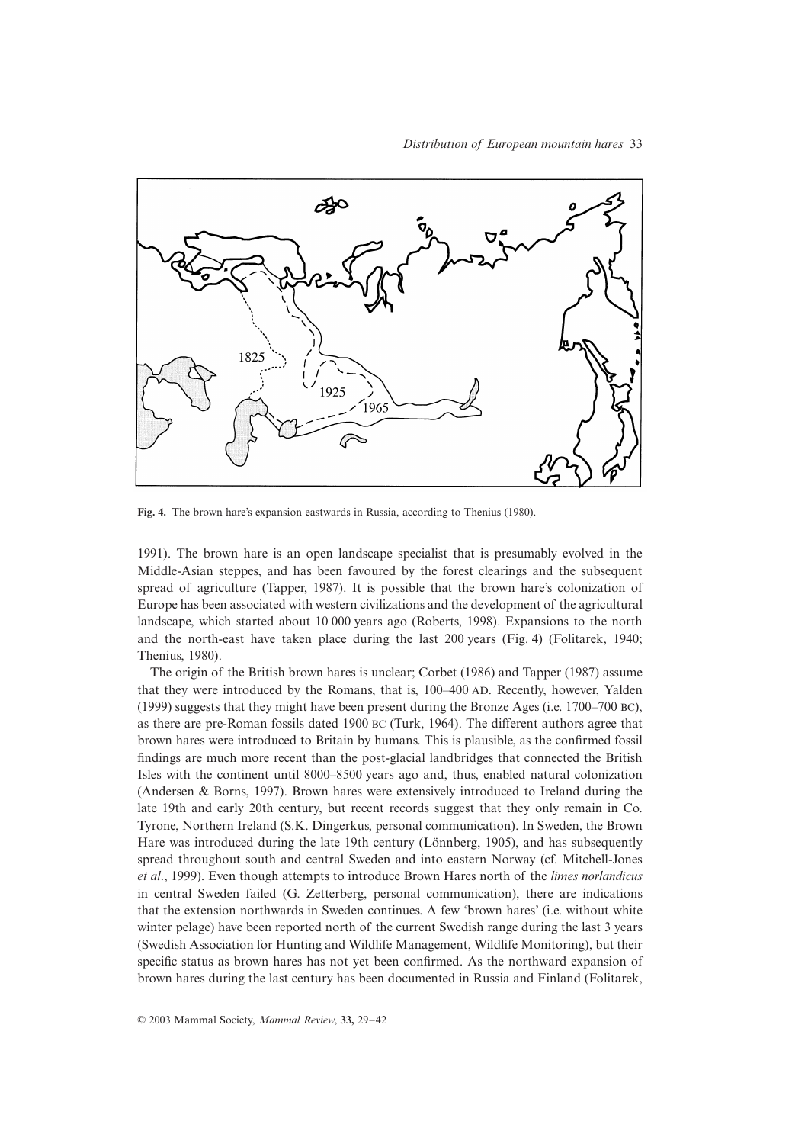

**Fig. 4.** The brown hare's expansion eastwards in Russia, according to Thenius (1980).

1991). The brown hare is an open landscape specialist that is presumably evolved in the Middle-Asian steppes, and has been favoured by the forest clearings and the subsequent spread of agriculture (Tapper, 1987). It is possible that the brown hare's colonization of Europe has been associated with western civilizations and the development of the agricultural landscape, which started about 10 000 years ago (Roberts, 1998). Expansions to the north and the north-east have taken place during the last 200 years (Fig. 4) (Folitarek, 1940; Thenius, 1980).

The origin of the British brown hares is unclear; Corbet (1986) and Tapper (1987) assume that they were introduced by the Romans, that is, 100–400 AD. Recently, however, Yalden (1999) suggests that they might have been present during the Bronze Ages (i.e. 1700–700 BC), as there are pre-Roman fossils dated 1900 BC (Turk, 1964). The different authors agree that brown hares were introduced to Britain by humans. This is plausible, as the confirmed fossil findings are much more recent than the post-glacial landbridges that connected the British Isles with the continent until 8000–8500 years ago and, thus, enabled natural colonization (Andersen & Borns, 1997). Brown hares were extensively introduced to Ireland during the late 19th and early 20th century, but recent records suggest that they only remain in Co. Tyrone, Northern Ireland (S.K. Dingerkus, personal communication). In Sweden, the Brown Hare was introduced during the late 19th century (Lönnberg, 1905), and has subsequently spread throughout south and central Sweden and into eastern Norway (cf. Mitchell-Jones *et al*., 1999). Even though attempts to introduce Brown Hares north of the *limes norlandicus* in central Sweden failed (G. Zetterberg, personal communication), there are indications that the extension northwards in Sweden continues. A few 'brown hares' (i.e. without white winter pelage) have been reported north of the current Swedish range during the last 3 years (Swedish Association for Hunting and Wildlife Management, Wildlife Monitoring), but their specific status as brown hares has not yet been confirmed. As the northward expansion of brown hares during the last century has been documented in Russia and Finland (Folitarek,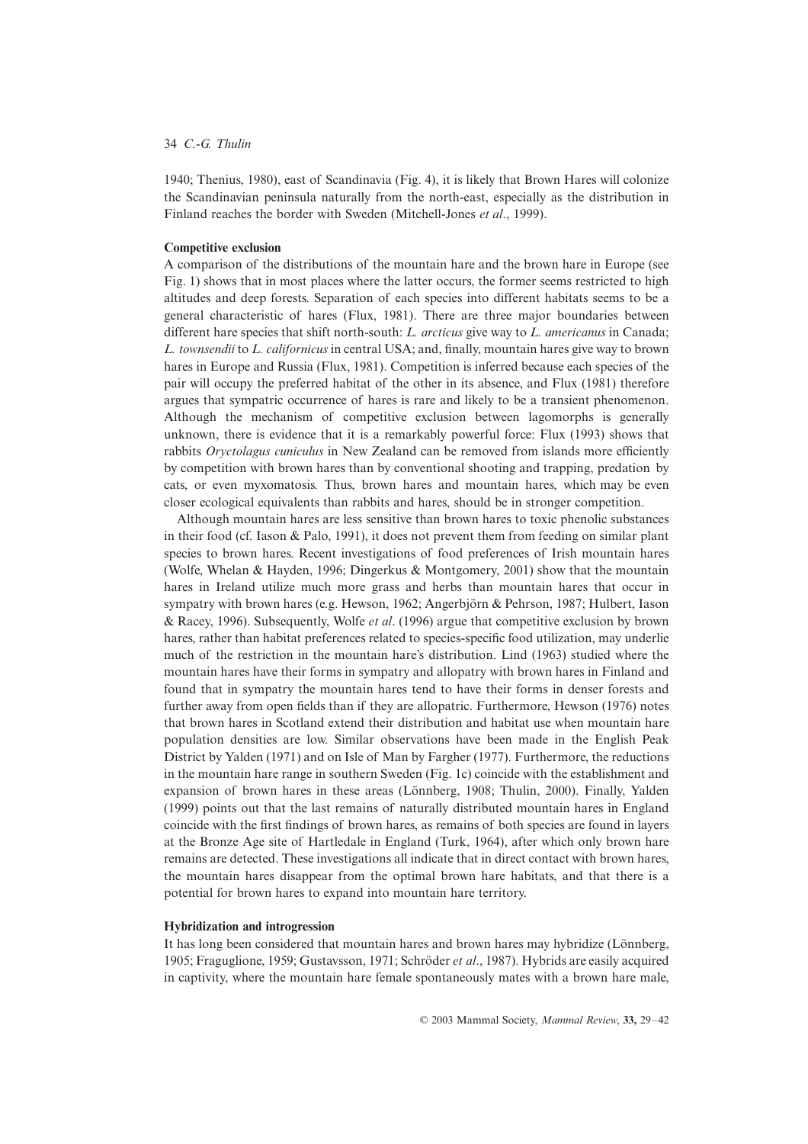1940; Thenius, 1980), east of Scandinavia (Fig. 4), it is likely that Brown Hares will colonize the Scandinavian peninsula naturally from the north-east, especially as the distribution in Finland reaches the border with Sweden (Mitchell-Jones *et al*., 1999).

#### **Competitive exclusion**

A comparison of the distributions of the mountain hare and the brown hare in Europe (see Fig. 1) shows that in most places where the latter occurs, the former seems restricted to high altitudes and deep forests. Separation of each species into different habitats seems to be a general characteristic of hares (Flux, 1981). There are three major boundaries between different hare species that shift north-south: *L. arcticus* give way to *L. americanus* in Canada; *L. townsendii* to *L. californicus* in central USA; and, finally, mountain hares give way to brown hares in Europe and Russia (Flux, 1981). Competition is inferred because each species of the pair will occupy the preferred habitat of the other in its absence, and Flux (1981) therefore argues that sympatric occurrence of hares is rare and likely to be a transient phenomenon. Although the mechanism of competitive exclusion between lagomorphs is generally unknown, there is evidence that it is a remarkably powerful force: Flux (1993) shows that rabbits *Oryctolagus cuniculus* in New Zealand can be removed from islands more efficiently by competition with brown hares than by conventional shooting and trapping, predation by cats, or even myxomatosis. Thus, brown hares and mountain hares, which may be even closer ecological equivalents than rabbits and hares, should be in stronger competition.

Although mountain hares are less sensitive than brown hares to toxic phenolic substances in their food (cf. Iason & Palo, 1991), it does not prevent them from feeding on similar plant species to brown hares. Recent investigations of food preferences of Irish mountain hares (Wolfe, Whelan & Hayden, 1996; Dingerkus & Montgomery, 2001) show that the mountain hares in Ireland utilize much more grass and herbs than mountain hares that occur in sympatry with brown hares (e.g. Hewson, 1962; Angerbjörn & Pehrson, 1987; Hulbert, Iason & Racey, 1996). Subsequently, Wolfe *et al*. (1996) argue that competitive exclusion by brown hares, rather than habitat preferences related to species-specific food utilization, may underlie much of the restriction in the mountain hare's distribution. Lind (1963) studied where the mountain hares have their forms in sympatry and allopatry with brown hares in Finland and found that in sympatry the mountain hares tend to have their forms in denser forests and further away from open fields than if they are allopatric. Furthermore, Hewson (1976) notes that brown hares in Scotland extend their distribution and habitat use when mountain hare population densities are low. Similar observations have been made in the English Peak District by Yalden (1971) and on Isle of Man by Fargher (1977). Furthermore, the reductions in the mountain hare range in southern Sweden (Fig. 1c) coincide with the establishment and expansion of brown hares in these areas (Lönnberg, 1908; Thulin, 2000). Finally, Yalden (1999) points out that the last remains of naturally distributed mountain hares in England coincide with the first findings of brown hares, as remains of both species are found in layers at the Bronze Age site of Hartledale in England (Turk, 1964), after which only brown hare remains are detected. These investigations all indicate that in direct contact with brown hares, the mountain hares disappear from the optimal brown hare habitats, and that there is a potential for brown hares to expand into mountain hare territory.

#### **Hybridization and introgression**

It has long been considered that mountain hares and brown hares may hybridize (Lönnberg, 1905; Fraguglione, 1959; Gustavsson, 1971; Schröder *et al*., 1987). Hybrids are easily acquired in captivity, where the mountain hare female spontaneously mates with a brown hare male,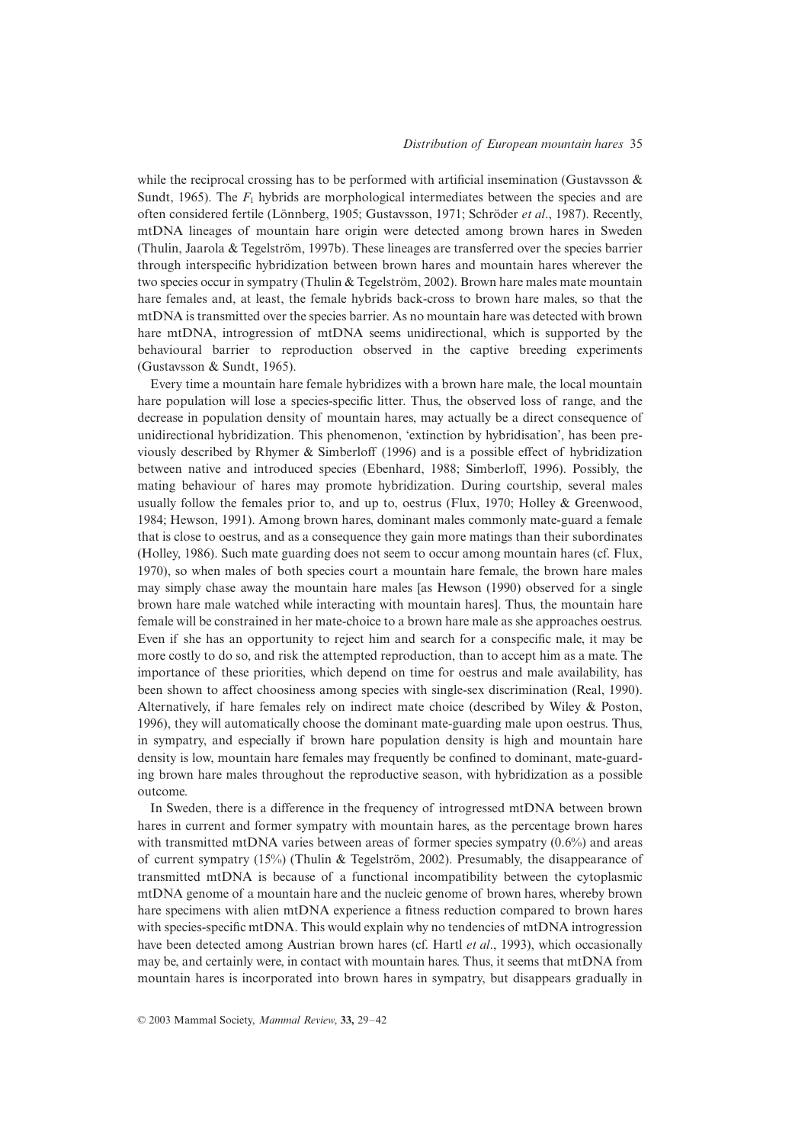while the reciprocal crossing has to be performed with artificial insemination (Gustavsson  $\&$ Sundt, 1965). The  $F_1$  hybrids are morphological intermediates between the species and are often considered fertile (Lönnberg, 1905; Gustavsson, 1971; Schröder *et al*., 1987). Recently, mtDNA lineages of mountain hare origin were detected among brown hares in Sweden (Thulin, Jaarola & Tegelström, 1997b). These lineages are transferred over the species barrier through interspecific hybridization between brown hares and mountain hares wherever the two species occur in sympatry (Thulin & Tegelström, 2002). Brown hare males mate mountain hare females and, at least, the female hybrids back-cross to brown hare males, so that the mtDNA is transmitted over the species barrier. As no mountain hare was detected with brown hare mtDNA, introgression of mtDNA seems unidirectional, which is supported by the behavioural barrier to reproduction observed in the captive breeding experiments (Gustavsson & Sundt, 1965).

Every time a mountain hare female hybridizes with a brown hare male, the local mountain hare population will lose a species-specific litter. Thus, the observed loss of range, and the decrease in population density of mountain hares, may actually be a direct consequence of unidirectional hybridization. This phenomenon, 'extinction by hybridisation', has been previously described by Rhymer & Simberloff (1996) and is a possible effect of hybridization between native and introduced species (Ebenhard, 1988; Simberloff, 1996). Possibly, the mating behaviour of hares may promote hybridization. During courtship, several males usually follow the females prior to, and up to, oestrus (Flux, 1970; Holley & Greenwood, 1984; Hewson, 1991). Among brown hares, dominant males commonly mate-guard a female that is close to oestrus, and as a consequence they gain more matings than their subordinates (Holley, 1986). Such mate guarding does not seem to occur among mountain hares (cf. Flux, 1970), so when males of both species court a mountain hare female, the brown hare males may simply chase away the mountain hare males [as Hewson (1990) observed for a single brown hare male watched while interacting with mountain hares]. Thus, the mountain hare female will be constrained in her mate-choice to a brown hare male as she approaches oestrus. Even if she has an opportunity to reject him and search for a conspecific male, it may be more costly to do so, and risk the attempted reproduction, than to accept him as a mate. The importance of these priorities, which depend on time for oestrus and male availability, has been shown to affect choosiness among species with single-sex discrimination (Real, 1990). Alternatively, if hare females rely on indirect mate choice (described by Wiley & Poston, 1996), they will automatically choose the dominant mate-guarding male upon oestrus. Thus, in sympatry, and especially if brown hare population density is high and mountain hare density is low, mountain hare females may frequently be confined to dominant, mate-guarding brown hare males throughout the reproductive season, with hybridization as a possible outcome.

In Sweden, there is a difference in the frequency of introgressed mtDNA between brown hares in current and former sympatry with mountain hares, as the percentage brown hares with transmitted mtDNA varies between areas of former species sympatry  $(0.6\%)$  and areas of current sympatry (15%) (Thulin & Tegelström, 2002). Presumably, the disappearance of transmitted mtDNA is because of a functional incompatibility between the cytoplasmic mtDNA genome of a mountain hare and the nucleic genome of brown hares, whereby brown hare specimens with alien mtDNA experience a fitness reduction compared to brown hares with species-specific mtDNA. This would explain why no tendencies of mtDNA introgression have been detected among Austrian brown hares (cf. Hartl *et al*., 1993), which occasionally may be, and certainly were, in contact with mountain hares. Thus, it seems that mtDNA from mountain hares is incorporated into brown hares in sympatry, but disappears gradually in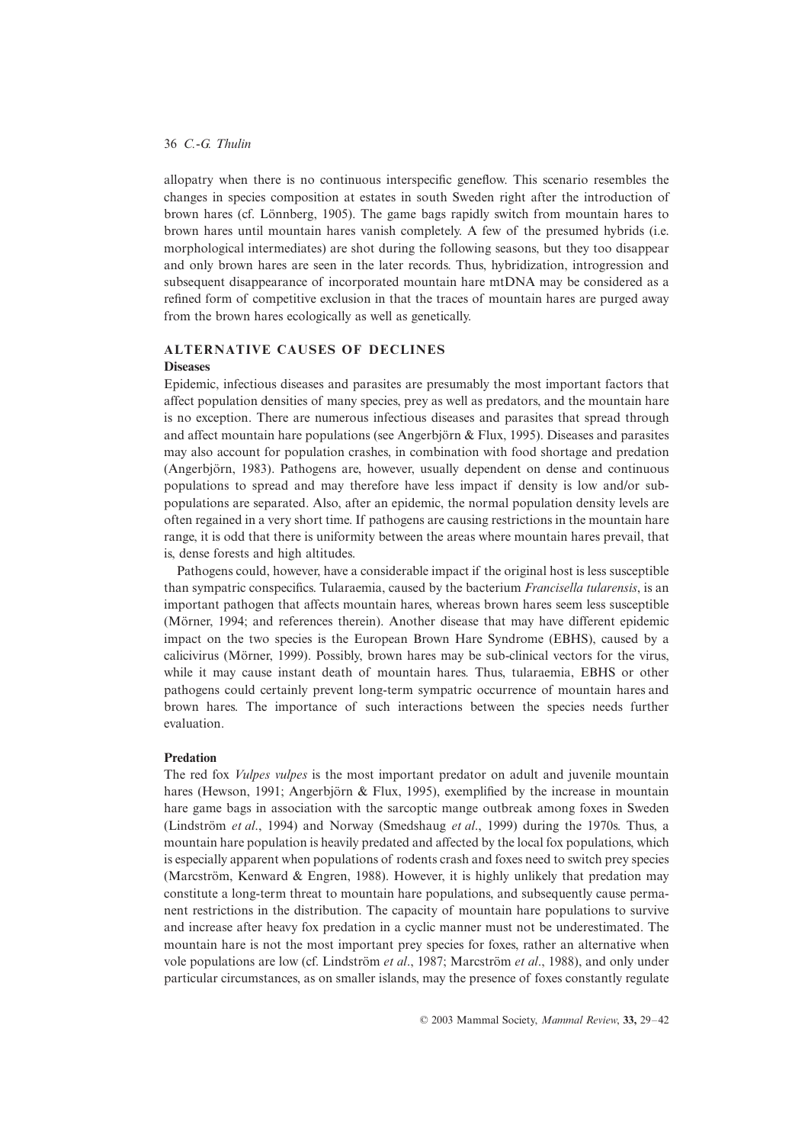allopatry when there is no continuous interspecific geneflow. This scenario resembles the changes in species composition at estates in south Sweden right after the introduction of brown hares (cf. Lönnberg, 1905). The game bags rapidly switch from mountain hares to brown hares until mountain hares vanish completely. A few of the presumed hybrids (i.e. morphological intermediates) are shot during the following seasons, but they too disappear and only brown hares are seen in the later records. Thus, hybridization, introgression and subsequent disappearance of incorporated mountain hare mtDNA may be considered as a refined form of competitive exclusion in that the traces of mountain hares are purged away from the brown hares ecologically as well as genetically.

## **ALTERNATIVE CAUSES OF DECLINES Diseases**

Epidemic, infectious diseases and parasites are presumably the most important factors that affect population densities of many species, prey as well as predators, and the mountain hare is no exception. There are numerous infectious diseases and parasites that spread through and affect mountain hare populations (see Angerbjörn & Flux, 1995). Diseases and parasites may also account for population crashes, in combination with food shortage and predation (Angerbjörn, 1983). Pathogens are, however, usually dependent on dense and continuous populations to spread and may therefore have less impact if density is low and/or subpopulations are separated. Also, after an epidemic, the normal population density levels are often regained in a very short time. If pathogens are causing restrictions in the mountain hare range, it is odd that there is uniformity between the areas where mountain hares prevail, that is, dense forests and high altitudes.

Pathogens could, however, have a considerable impact if the original host is less susceptible than sympatric conspecifics. Tularaemia, caused by the bacterium *Francisella tularensis*, is an important pathogen that affects mountain hares, whereas brown hares seem less susceptible (Mörner, 1994; and references therein). Another disease that may have different epidemic impact on the two species is the European Brown Hare Syndrome (EBHS), caused by a calicivirus (Mörner, 1999). Possibly, brown hares may be sub-clinical vectors for the virus, while it may cause instant death of mountain hares. Thus, tularaemia, EBHS or other pathogens could certainly prevent long-term sympatric occurrence of mountain hares and brown hares. The importance of such interactions between the species needs further evaluation.

## **Predation**

The red fox *Vulpes vulpes* is the most important predator on adult and juvenile mountain hares (Hewson, 1991; Angerbjörn & Flux, 1995), exemplified by the increase in mountain hare game bags in association with the sarcoptic mange outbreak among foxes in Sweden (Lindström *et al*., 1994) and Norway (Smedshaug *et al*., 1999) during the 1970s. Thus, a mountain hare population is heavily predated and affected by the local fox populations, which is especially apparent when populations of rodents crash and foxes need to switch prey species (Marcström, Kenward & Engren, 1988). However, it is highly unlikely that predation may constitute a long-term threat to mountain hare populations, and subsequently cause permanent restrictions in the distribution. The capacity of mountain hare populations to survive and increase after heavy fox predation in a cyclic manner must not be underestimated. The mountain hare is not the most important prey species for foxes, rather an alternative when vole populations are low (cf. Lindström *et al*., 1987; Marcström *et al*., 1988), and only under particular circumstances, as on smaller islands, may the presence of foxes constantly regulate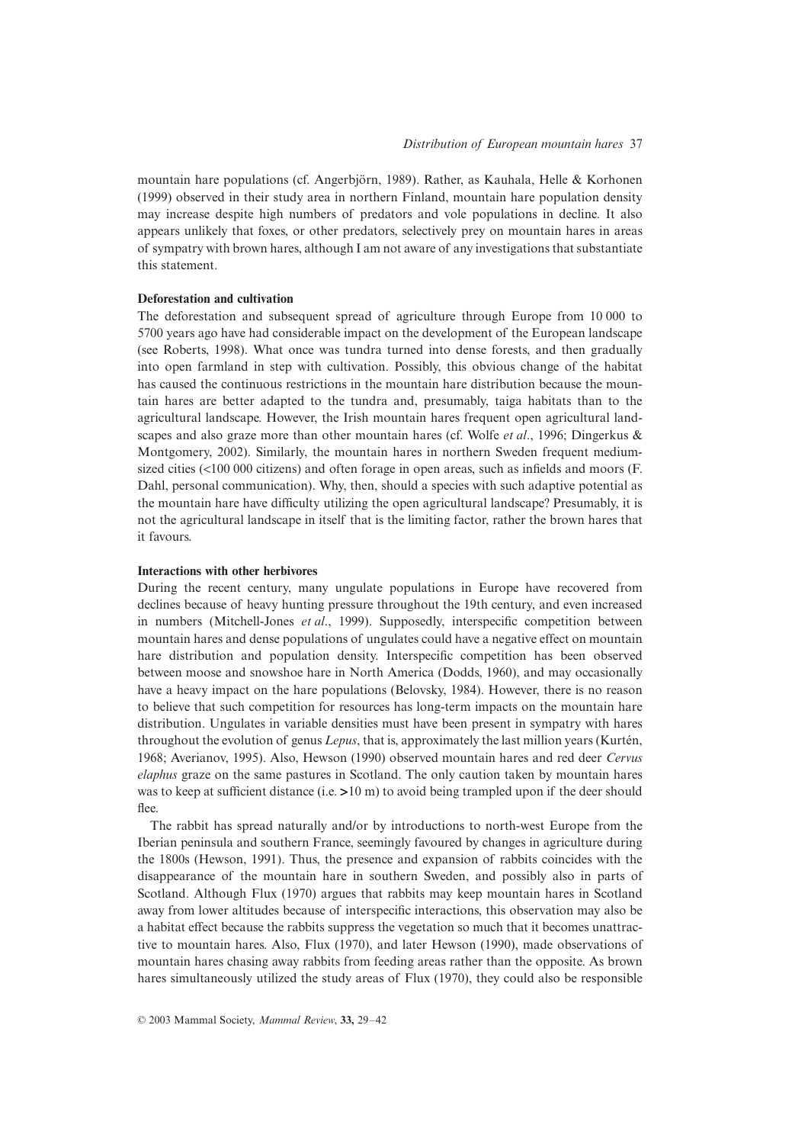mountain hare populations (cf. Angerbjörn, 1989). Rather, as Kauhala, Helle & Korhonen (1999) observed in their study area in northern Finland, mountain hare population density may increase despite high numbers of predators and vole populations in decline. It also appears unlikely that foxes, or other predators, selectively prey on mountain hares in areas of sympatry with brown hares, although I am not aware of any investigations that substantiate this statement.

#### **Deforestation and cultivation**

The deforestation and subsequent spread of agriculture through Europe from 10 000 to 5700 years ago have had considerable impact on the development of the European landscape (see Roberts, 1998). What once was tundra turned into dense forests, and then gradually into open farmland in step with cultivation. Possibly, this obvious change of the habitat has caused the continuous restrictions in the mountain hare distribution because the mountain hares are better adapted to the tundra and, presumably, taiga habitats than to the agricultural landscape. However, the Irish mountain hares frequent open agricultural landscapes and also graze more than other mountain hares (cf. Wolfe *et al*., 1996; Dingerkus & Montgomery, 2002). Similarly, the mountain hares in northern Sweden frequent mediumsized cities (<100 000 citizens) and often forage in open areas, such as infields and moors (F. Dahl, personal communication). Why, then, should a species with such adaptive potential as the mountain hare have difficulty utilizing the open agricultural landscape? Presumably, it is not the agricultural landscape in itself that is the limiting factor, rather the brown hares that it favours.

# **Interactions with other herbivores**

During the recent century, many ungulate populations in Europe have recovered from declines because of heavy hunting pressure throughout the 19th century, and even increased in numbers (Mitchell-Jones *et al*., 1999). Supposedly, interspecific competition between mountain hares and dense populations of ungulates could have a negative effect on mountain hare distribution and population density. Interspecific competition has been observed between moose and snowshoe hare in North America (Dodds, 1960), and may occasionally have a heavy impact on the hare populations (Belovsky, 1984). However, there is no reason to believe that such competition for resources has long-term impacts on the mountain hare distribution. Ungulates in variable densities must have been present in sympatry with hares throughout the evolution of genus *Lepus*, that is, approximately the last million years (Kurtén, 1968; Averianov, 1995). Also, Hewson (1990) observed mountain hares and red deer *Cervus elaphus* graze on the same pastures in Scotland. The only caution taken by mountain hares was to keep at sufficient distance (i.e.  $>10 \text{ m}$ ) to avoid being trampled upon if the deer should flee.

The rabbit has spread naturally and/or by introductions to north-west Europe from the Iberian peninsula and southern France, seemingly favoured by changes in agriculture during the 1800s (Hewson, 1991). Thus, the presence and expansion of rabbits coincides with the disappearance of the mountain hare in southern Sweden, and possibly also in parts of Scotland. Although Flux (1970) argues that rabbits may keep mountain hares in Scotland away from lower altitudes because of interspecific interactions, this observation may also be a habitat effect because the rabbits suppress the vegetation so much that it becomes unattractive to mountain hares. Also, Flux (1970), and later Hewson (1990), made observations of mountain hares chasing away rabbits from feeding areas rather than the opposite. As brown hares simultaneously utilized the study areas of Flux (1970), they could also be responsible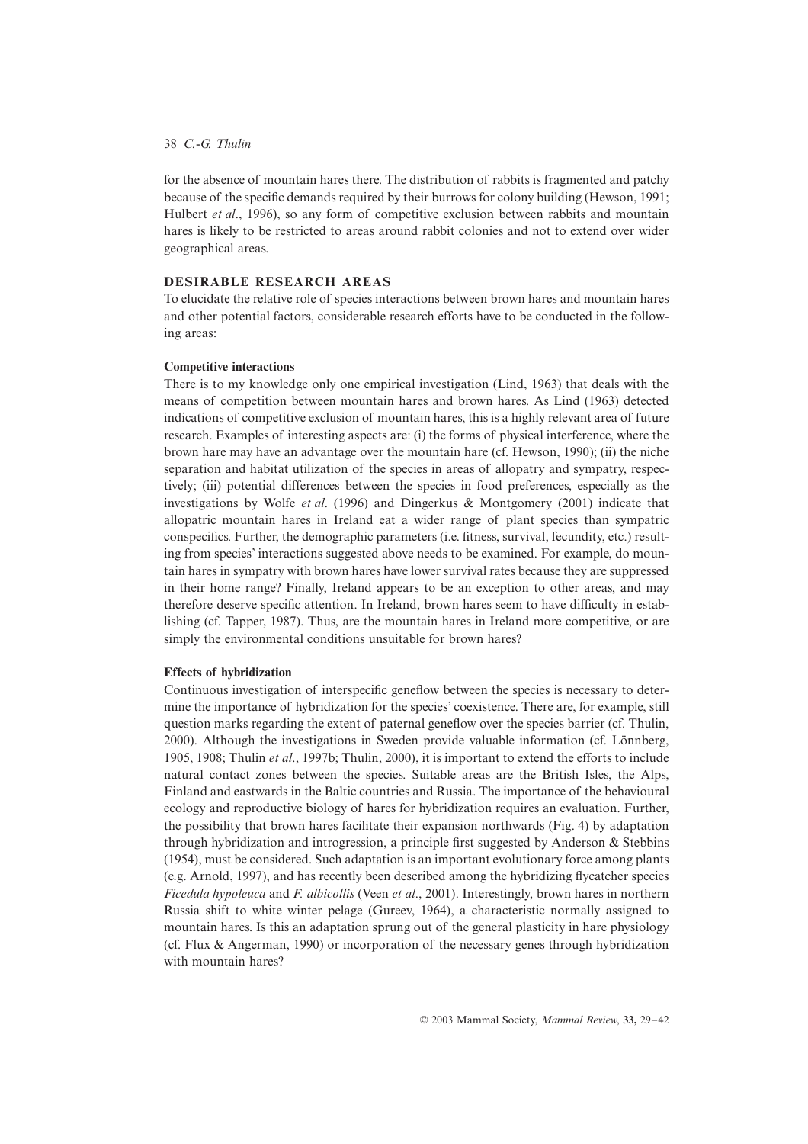## 38 *C.-G. Thulin*

for the absence of mountain hares there. The distribution of rabbits is fragmented and patchy because of the specific demands required by their burrows for colony building (Hewson, 1991; Hulbert *et al*., 1996), so any form of competitive exclusion between rabbits and mountain hares is likely to be restricted to areas around rabbit colonies and not to extend over wider geographical areas.

# **DESIRABLE RESEARCH AREAS**

To elucidate the relative role of species interactions between brown hares and mountain hares and other potential factors, considerable research efforts have to be conducted in the following areas:

# **Competitive interactions**

There is to my knowledge only one empirical investigation (Lind, 1963) that deals with the means of competition between mountain hares and brown hares. As Lind (1963) detected indications of competitive exclusion of mountain hares, this is a highly relevant area of future research. Examples of interesting aspects are: (i) the forms of physical interference, where the brown hare may have an advantage over the mountain hare (cf. Hewson, 1990); (ii) the niche separation and habitat utilization of the species in areas of allopatry and sympatry, respectively; (iii) potential differences between the species in food preferences, especially as the investigations by Wolfe *et al*. (1996) and Dingerkus & Montgomery (2001) indicate that allopatric mountain hares in Ireland eat a wider range of plant species than sympatric conspecifics. Further, the demographic parameters (i.e. fitness, survival, fecundity, etc.) resulting from species' interactions suggested above needs to be examined. For example, do mountain hares in sympatry with brown hares have lower survival rates because they are suppressed in their home range? Finally, Ireland appears to be an exception to other areas, and may therefore deserve specific attention. In Ireland, brown hares seem to have difficulty in establishing (cf. Tapper, 1987). Thus, are the mountain hares in Ireland more competitive, or are simply the environmental conditions unsuitable for brown hares?

# **Effects of hybridization**

Continuous investigation of interspecific geneflow between the species is necessary to determine the importance of hybridization for the species' coexistence. There are, for example, still question marks regarding the extent of paternal geneflow over the species barrier (cf. Thulin, 2000). Although the investigations in Sweden provide valuable information (cf. Lönnberg, 1905, 1908; Thulin *et al*., 1997b; Thulin, 2000), it is important to extend the efforts to include natural contact zones between the species. Suitable areas are the British Isles, the Alps, Finland and eastwards in the Baltic countries and Russia. The importance of the behavioural ecology and reproductive biology of hares for hybridization requires an evaluation. Further, the possibility that brown hares facilitate their expansion northwards (Fig. 4) by adaptation through hybridization and introgression, a principle first suggested by Anderson & Stebbins (1954), must be considered. Such adaptation is an important evolutionary force among plants (e.g. Arnold, 1997), and has recently been described among the hybridizing flycatcher species *Ficedula hypoleuca* and *F. albicollis* (Veen *et al*., 2001). Interestingly, brown hares in northern Russia shift to white winter pelage (Gureev, 1964), a characteristic normally assigned to mountain hares. Is this an adaptation sprung out of the general plasticity in hare physiology (cf. Flux & Angerman, 1990) or incorporation of the necessary genes through hybridization with mountain hares?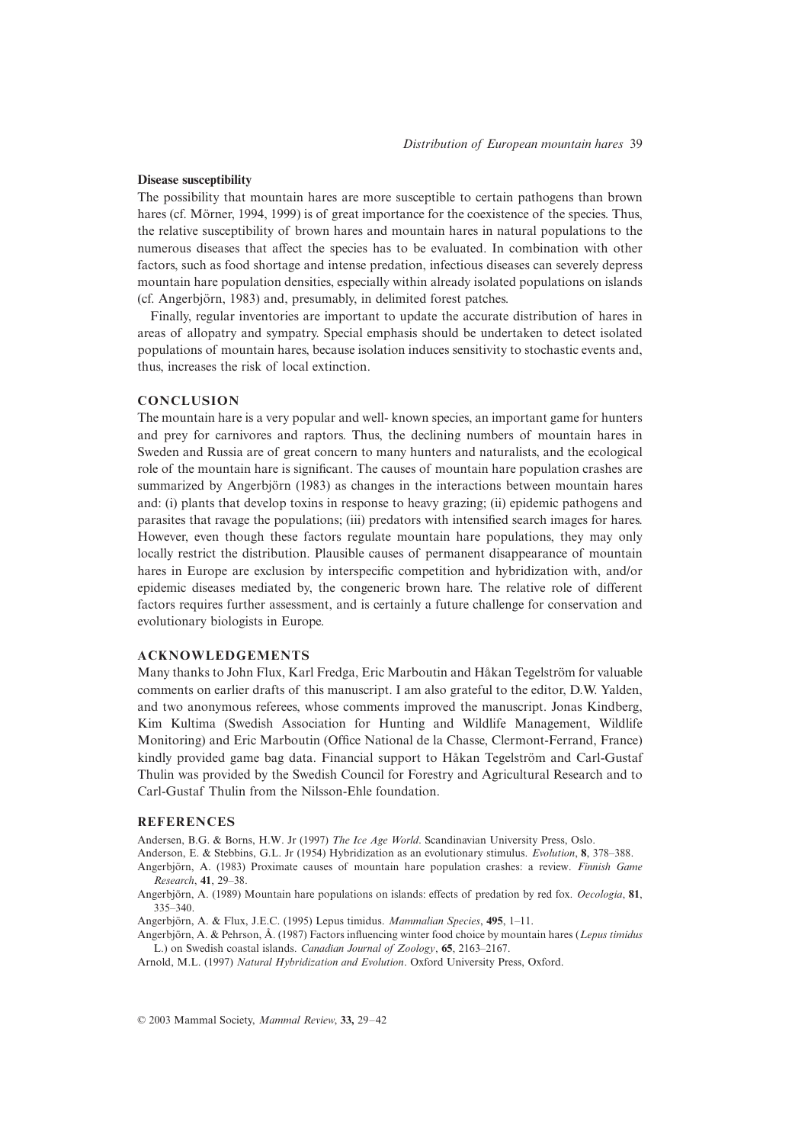#### **Disease susceptibility**

The possibility that mountain hares are more susceptible to certain pathogens than brown hares (cf. Mörner, 1994, 1999) is of great importance for the coexistence of the species. Thus, the relative susceptibility of brown hares and mountain hares in natural populations to the numerous diseases that affect the species has to be evaluated. In combination with other factors, such as food shortage and intense predation, infectious diseases can severely depress mountain hare population densities, especially within already isolated populations on islands (cf. Angerbjörn, 1983) and, presumably, in delimited forest patches.

Finally, regular inventories are important to update the accurate distribution of hares in areas of allopatry and sympatry. Special emphasis should be undertaken to detect isolated populations of mountain hares, because isolation induces sensitivity to stochastic events and, thus, increases the risk of local extinction.

# **CONCLUSION**

The mountain hare is a very popular and well- known species, an important game for hunters and prey for carnivores and raptors. Thus, the declining numbers of mountain hares in Sweden and Russia are of great concern to many hunters and naturalists, and the ecological role of the mountain hare is significant. The causes of mountain hare population crashes are summarized by Angerbjörn (1983) as changes in the interactions between mountain hares and: (i) plants that develop toxins in response to heavy grazing; (ii) epidemic pathogens and parasites that ravage the populations; (iii) predators with intensified search images for hares. However, even though these factors regulate mountain hare populations, they may only locally restrict the distribution. Plausible causes of permanent disappearance of mountain hares in Europe are exclusion by interspecific competition and hybridization with, and/or epidemic diseases mediated by, the congeneric brown hare. The relative role of different factors requires further assessment, and is certainly a future challenge for conservation and evolutionary biologists in Europe.

#### **ACKNOWLEDGEMENTS**

Many thanks to John Flux, Karl Fredga, Eric Marboutin and Håkan Tegelström for valuable comments on earlier drafts of this manuscript. I am also grateful to the editor, D.W. Yalden, and two anonymous referees, whose comments improved the manuscript. Jonas Kindberg, Kim Kultima (Swedish Association for Hunting and Wildlife Management, Wildlife Monitoring) and Eric Marboutin (Office National de la Chasse, Clermont-Ferrand, France) kindly provided game bag data. Financial support to Håkan Tegelström and Carl-Gustaf Thulin was provided by the Swedish Council for Forestry and Agricultural Research and to Carl-Gustaf Thulin from the Nilsson-Ehle foundation.

# **REFERENCES**

Andersen, B.G. & Borns, H.W. Jr (1997) *The Ice Age World*. Scandinavian University Press, Oslo.

Anderson, E. & Stebbins, G.L. Jr (1954) Hybridization as an evolutionary stimulus. *Evolution*, **8**, 378–388.

- Angerbjörn, A. (1983) Proximate causes of mountain hare population crashes: a review. *Finnish Game Research*, **41**, 29–38.
- Angerbjörn, A. (1989) Mountain hare populations on islands: effects of predation by red fox. *Oecologia*, **81**, 335–340.
- Angerbjörn, A. & Flux, J.E.C. (1995) Lepus timidus. *Mammalian Species*, **495**, 1–11.
- Angerbjörn, A. & Pehrson, Å. (1987) Factors influencing winter food choice by mountain hares (*Lepus timidus* L.) on Swedish coastal islands. *Canadian Journal of Zoology*, **65**, 2163–2167.

Arnold, M.L. (1997) *Natural Hybridization and Evolution*. Oxford University Press, Oxford.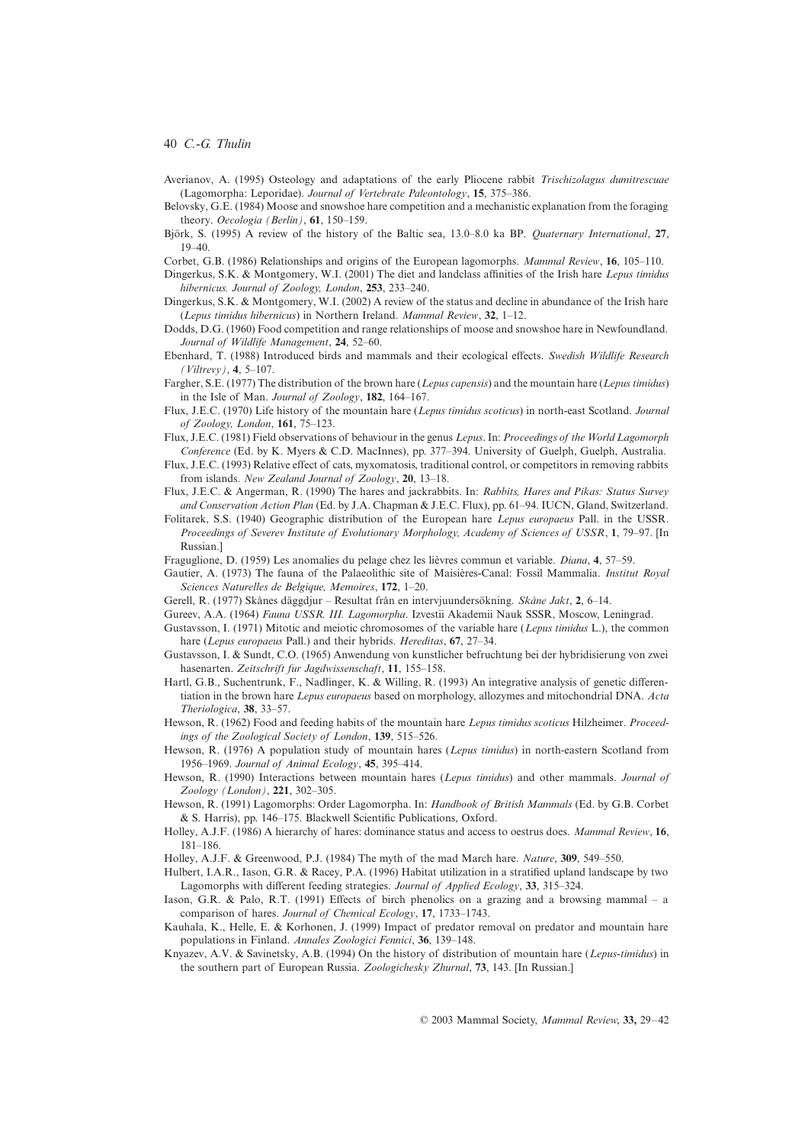- Averianov, A. (1995) Osteology and adaptations of the early Pliocene rabbit *Trischizolagus dumitrescuae* (Lagomorpha: Leporidae). *Journal of Vertebrate Paleontology*, **15**, 375–386.
- Belovsky, G.E. (1984) Moose and snowshoe hare competition and a mechanistic explanation from the foraging theory. *Oecologia (Berlin)*, **61**, 150–159.
- Björk, S. (1995) A review of the history of the Baltic sea, 13.0–8.0 ka BP. *Quaternary International*, **27**, 19–40.
- Corbet, G.B. (1986) Relationships and origins of the European lagomorphs. *Mammal Review*, **16**, 105–110.
- Dingerkus, S.K. & Montgomery, W.I. (2001) The diet and landclass affinities of the Irish hare *Lepus timidus hibernicus. Journal of Zoology, London*, **253**, 233–240.
- Dingerkus, S.K. & Montgomery, W.I. (2002) A review of the status and decline in abundance of the Irish hare (*Lepus timidus hibernicus*) in Northern Ireland. *Mammal Review*, **32**, 1–12.
- Dodds, D.G. (1960) Food competition and range relationships of moose and snowshoe hare in Newfoundland. *Journal of Wildlife Management*, **24**, 52–60.
- Ebenhard, T. (1988) Introduced birds and mammals and their ecological effects. *Swedish Wildlife Research (Viltrevy)*, **4**, 5–107.
- Fargher, S.E. (1977) The distribution of the brown hare (*Lepus capensis*) and the mountain hare (*Lepus timidus*) in the Isle of Man. *Journal of Zoology*, **182**, 164–167.
- Flux, J.E.C. (1970) Life history of the mountain hare (*Lepus timidus scoticus*) in north-east Scotland. *Journal of Zoology, London*, **161**, 75–123.
- Flux, J.E.C. (1981) Field observations of behaviour in the genus *Lepus*. In: *Proceedings of the World Lagomorph Conference* (Ed. by K. Myers & C.D. MacInnes), pp. 377–394. University of Guelph, Guelph, Australia.
- Flux, J.E.C. (1993) Relative effect of cats, myxomatosis, traditional control, or competitors in removing rabbits from islands. *New Zealand Journal of Zoology*, **20**, 13–18.
- Flux, J.E.C. & Angerman, R. (1990) The hares and jackrabbits. In: *Rabbits, Hares and Pikas: Status Survey and Conservation Action Plan* (Ed. by J.A. Chapman & J.E.C. Flux), pp. 61–94. IUCN, Gland, Switzerland.
- Folitarek, S.S. (1940) Geographic distribution of the European hare *Lepus europaeus* Pall. in the USSR. *Proceedings of Severev Institute of Evolutionary Morphology, Academy of Sciences of USSR*, **1**, 79–97. [In Russian.]
- Fraguglione, D. (1959) Les anomalies du pelage chez les lièvres commun et variable. *Diana*, **4**, 57–59.
- Gautier, A. (1973) The fauna of the Palaeolithic site of Maisières-Canal: Fossil Mammalia. *Institut Royal Sciences Naturelles de Belgique, Memoires*, **172**, 1–20.
- Gerell, R. (1977) Skånes däggdjur Resultat från en intervjuundersökning. *Skåne Jakt*, **2**, 6–14.
- Gureev, A.A. (1964) *Fauna USSR. III. Lagomorpha*. Izvestii Akademii Nauk SSSR, Moscow, Leningrad.
- Gustavsson, I. (1971) Mitotic and meiotic chromosomes of the variable hare (*Lepus timidus* L.), the common hare (*Lepus europaeus* Pall.) and their hybrids. *Hereditas*, **67**, 27–34.
- Gustavsson, I. & Sundt, C.O. (1965) Anwendung von kunstlicher befruchtung bei der hybridisierung von zwei hasenarten. *Zeitschrift fur Jagdwissenschaft*, **11**, 155–158.
- Hartl, G.B., Suchentrunk, F., Nadlinger, K. & Willing, R. (1993) An integrative analysis of genetic differentiation in the brown hare *Lepus europaeus* based on morphology, allozymes and mitochondrial DNA. *Acta Theriologica*, **38**, 33–57.
- Hewson, R. (1962) Food and feeding habits of the mountain hare *Lepus timidus scoticus* Hilzheimer. *Proceedings of the Zoological Society of London*, **139**, 515–526.
- Hewson, R. (1976) A population study of mountain hares (*Lepus timidus*) in north-eastern Scotland from 1956–1969. *Journal of Animal Ecology*, **45**, 395–414.
- Hewson, R. (1990) Interactions between mountain hares (*Lepus timidus*) and other mammals. *Journal of Zoology (London)*, **221**, 302–305.
- Hewson, R. (1991) Lagomorphs: Order Lagomorpha. In: *Handbook of British Mammals* (Ed. by G.B. Corbet & S. Harris), pp. 146–175. Blackwell Scientific Publications, Oxford.
- Holley, A.J.F. (1986) A hierarchy of hares: dominance status and access to oestrus does. *Mammal Review*, **16**, 181–186.
- Holley, A.J.F. & Greenwood, P.J. (1984) The myth of the mad March hare. *Nature*, **309**, 549–550.
- Hulbert, I.A.R., Iason, G.R. & Racey, P.A. (1996) Habitat utilization in a stratified upland landscape by two Lagomorphs with different feeding strategies. *Journal of Applied Ecology*, **33**, 315–324.
- Iason, G.R. & Palo, R.T. (1991) Effects of birch phenolics on a grazing and a browsing mammal a comparison of hares. *Journal of Chemical Ecology*, **17**, 1733–1743.
- Kauhala, K., Helle, E. & Korhonen, J. (1999) Impact of predator removal on predator and mountain hare populations in Finland. *Annales Zoologici Fennici*, **36**, 139–148.
- Knyazev, A.V. & Savinetsky, A.B. (1994) On the history of distribution of mountain hare (*Lepus-timidus*) in the southern part of European Russia. *Zoologichesky Zhurnal*, **73**, 143. [In Russian.]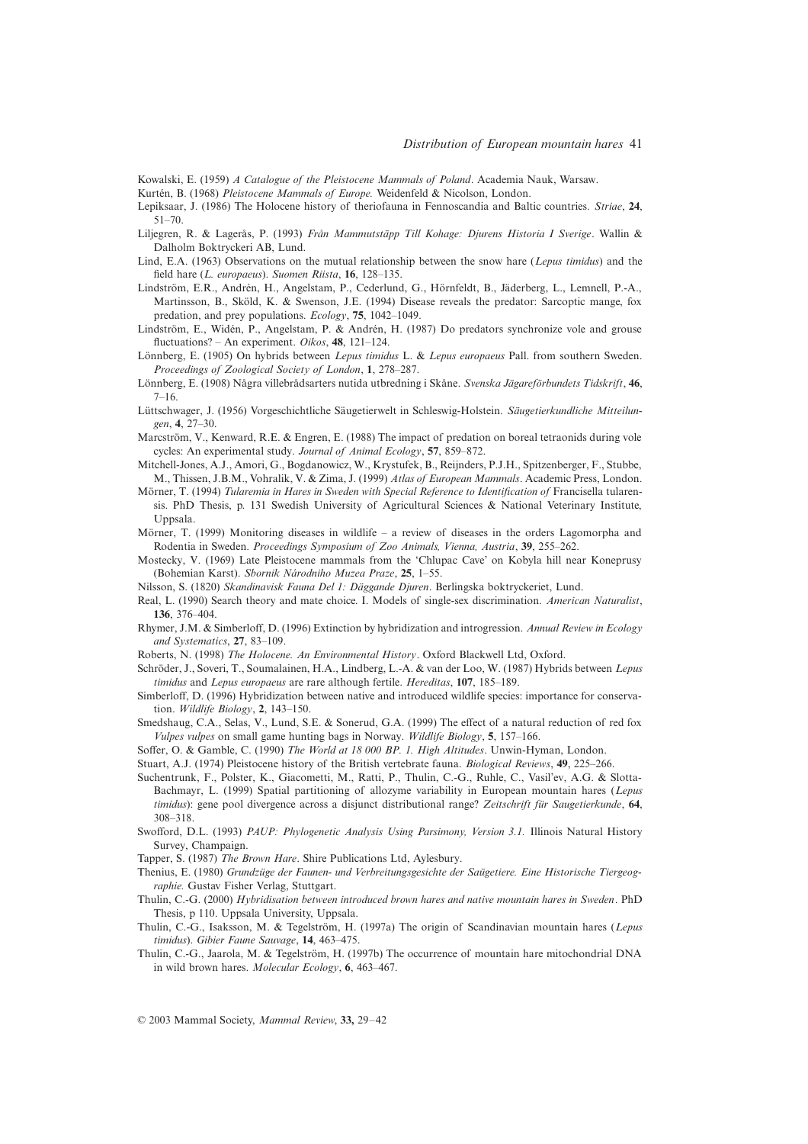Kowalski, E. (1959) *A Catalogue of the Pleistocene Mammals of Poland*. Academia Nauk, Warsaw.

- Kurtén, B. (1968) *Pleistocene Mammals of Europe.* Weidenfeld & Nicolson, London.
- Lepiksaar, J. (1986) The Holocene history of theriofauna in Fennoscandia and Baltic countries. *Striae*, **24**, 51–70.
- Liljegren, R. & Lagerås, P. (1993) *Från Mammutstäpp Till Kohage: Djurens Historia I Sverige*. Wallin & Dalholm Boktryckeri AB, Lund.
- Lind, E.A. (1963) Observations on the mutual relationship between the snow hare (*Lepus timidus*) and the field hare (*L. europaeus*). *Suomen Riista*, **16**, 128–135.
- Lindström, E.R., Andrén, H., Angelstam, P., Cederlund, G., Hörnfeldt, B., Jäderberg, L., Lemnell, P.-A., Martinsson, B., Sköld, K. & Swenson, J.E. (1994) Disease reveals the predator: Sarcoptic mange, fox predation, and prey populations. *Ecology*, **75**, 1042–1049.
- Lindström, E., Widén, P., Angelstam, P. & Andrén, H. (1987) Do predators synchronize vole and grouse fluctuations? – An experiment. *Oikos*, **48**, 121–124.
- Lönnberg, E. (1905) On hybrids between *Lepus timidus* L. & *Lepus europaeus* Pall. from southern Sweden. *Proceedings of Zoological Society of London*, **1**, 278–287.
- Lönnberg, E. (1908) Några villebrådsarters nutida utbredning i Skåne. *Svenska Jägareförbundets Tidskrift*, **46**, 7–16.
- Lüttschwager, J. (1956) Vorgeschichtliche Säugetierwelt in Schleswig-Holstein. *Säugetierkundliche Mitteilungen*, **4**, 27–30.
- Marcström, V., Kenward, R.E. & Engren, E. (1988) The impact of predation on boreal tetraonids during vole cycles: An experimental study. *Journal of Animal Ecology*, **57**, 859–872.
- Mitchell-Jones, A.J., Amori, G., Bogdanowicz, W., Krystufek, B., Reijnders, P.J.H., Spitzenberger, F., Stubbe, M., Thissen, J.B.M., Vohralik, V. & Zima, J. (1999) *Atlas of European Mammals*. Academic Press, London.
- Mörner, T. (1994) *Tularemia in Hares in Sweden with Special Reference to Identification of* Francisella tularensis. PhD Thesis, p. 131 Swedish University of Agricultural Sciences & National Veterinary Institute, Uppsala.
- Mörner, T. (1999) Monitoring diseases in wildlife a review of diseases in the orders Lagomorpha and Rodentia in Sweden. *Proceedings Symposium of Zoo Animals, Vienna, Austria*, **39**, 255–262.
- Mostecky, V. (1969) Late Pleistocene mammals from the 'Chlupac Cave' on Kobyla hill near Koneprusy (Bohemian Karst). *Sbornik Národniho Muzea Praze*, **25**, 1–55.
- Nilsson, S. (1820) *Skandinavisk Fauna Del 1: Däggande Djuren*. Berlingska boktryckeriet, Lund.
- Real, L. (1990) Search theory and mate choice. I. Models of single-sex discrimination. *American Naturalist*, **136**, 376–404.
- Rhymer, J.M. & Simberloff, D. (1996) Extinction by hybridization and introgression. *Annual Review in Ecology and Systematics*, **27**, 83–109.
- Roberts, N. (1998) *The Holocene. An Environmental History*. Oxford Blackwell Ltd, Oxford.
- Schröder, J., Soveri, T., Soumalainen, H.A., Lindberg, L.-A. & van der Loo, W. (1987) Hybrids between *Lepus timidus* and *Lepus europaeus* are rare although fertile. *Hereditas*, **107**, 185–189.
- Simberloff, D. (1996) Hybridization between native and introduced wildlife species: importance for conservation. *Wildlife Biology*, **2**, 143–150.
- Smedshaug, C.A., Selas, V., Lund, S.E. & Sonerud, G.A. (1999) The effect of a natural reduction of red fox *Vulpes vulpes* on small game hunting bags in Norway. *Wildlife Biology*, **5**, 157–166.
- Soffer, O. & Gamble, C. (1990) *The World at 18 000 BP. 1. High Altitudes*. Unwin-Hyman, London.

Stuart, A.J. (1974) Pleistocene history of the British vertebrate fauna. *Biological Reviews*, **49**, 225–266.

- Suchentrunk, F., Polster, K., Giacometti, M., Ratti, P., Thulin, C.-G., Ruhle, C., Vasil'ev, A.G. & Slotta-Bachmayr, L. (1999) Spatial partitioning of allozyme variability in European mountain hares (*Lepus timidus*): gene pool divergence across a disjunct distributional range? *Zeitschrift für Saugetierkunde*, **64**, 308–318.
- Swofford, D.L. (1993) *PAUP: Phylogenetic Analysis Using Parsimony, Version 3.1.* Illinois Natural History Survey, Champaign.
- Tapper, S. (1987) *The Brown Hare*. Shire Publications Ltd, Aylesbury.
- Thenius, E. (1980) *Grundzüge der Faunen- und Verbreitungsgesichte der Saügetiere. Eine Historische Tiergeographie.* Gustav Fisher Verlag, Stuttgart.
- Thulin, C.-G. (2000) *Hybridisation between introduced brown hares and native mountain hares in Sweden*. PhD Thesis, p 110. Uppsala University, Uppsala.
- Thulin, C.-G., Isaksson, M. & Tegelström, H. (1997a) The origin of Scandinavian mountain hares (*Lepus timidus*). *Gibier Faune Sauvage*, **14**, 463–475.
- Thulin, C.-G., Jaarola, M. & Tegelström, H. (1997b) The occurrence of mountain hare mitochondrial DNA in wild brown hares. *Molecular Ecology*, **6**, 463–467.